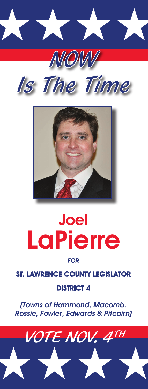



# Joel LaPierre

### **FOR**

## ST. LAWRENCE COUNTY LEGISLATOR

## DISTRICT 4

(Towns of Hammond, Macomb, Rossie, Fowler, Edwards & Pitcairn)